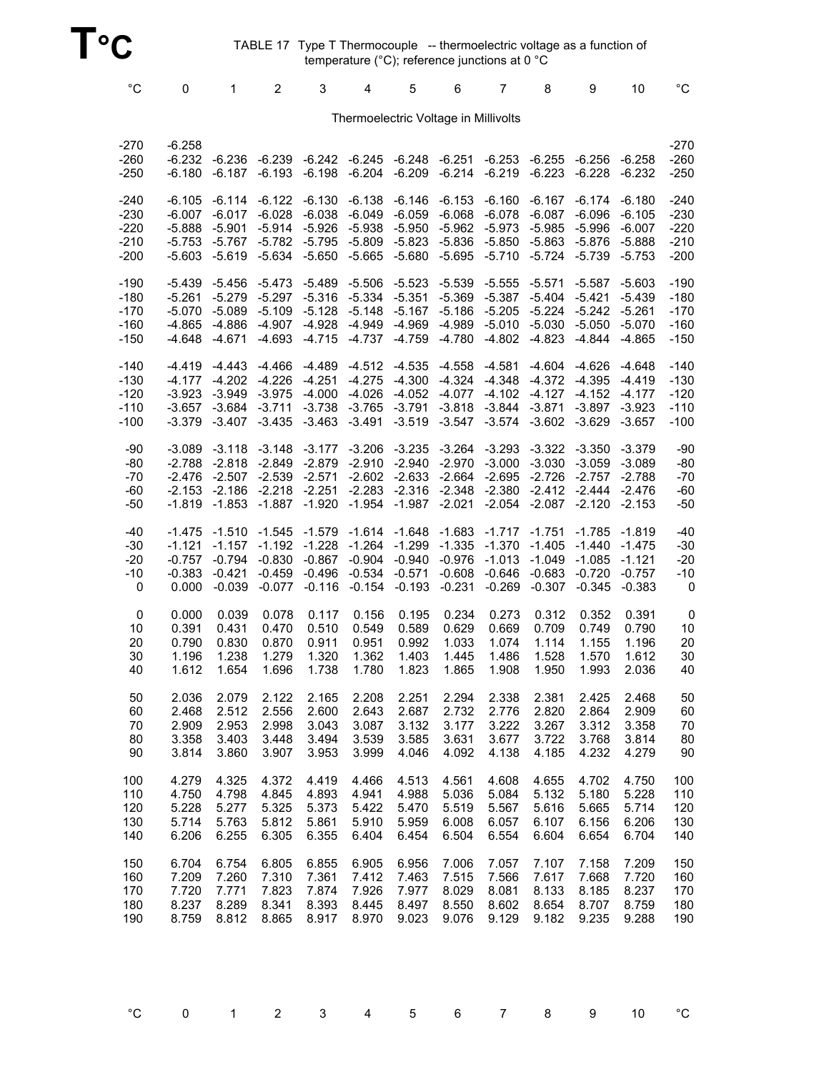TABLE 17 Type T Thermocouple -- thermoelectric voltage as a function of temperature (°C); reference junctions at 0 °C

| $^{\circ}C$                           | 0                                                    | 1                                                      | $\overline{2}$                                           | 3                                                        | 4                                                        | 5                                                        | 6                                            | $\overline{7}$                                                   | 8                                                      | 9                                                        | 10                                                     | $^{\circ}{\rm C}$                         |
|---------------------------------------|------------------------------------------------------|--------------------------------------------------------|----------------------------------------------------------|----------------------------------------------------------|----------------------------------------------------------|----------------------------------------------------------|----------------------------------------------|------------------------------------------------------------------|--------------------------------------------------------|----------------------------------------------------------|--------------------------------------------------------|-------------------------------------------|
| Thermoelectric Voltage in Millivolts  |                                                      |                                                        |                                                          |                                                          |                                                          |                                                          |                                              |                                                                  |                                                        |                                                          |                                                        |                                           |
| $-270$<br>$-260$<br>$-250$            | $-6.258$<br>$-6.232$<br>-6.180                       | $-6.236$<br>$-6.187$                                   | $-6.239$<br>$-6.193$                                     | $-6.242$<br>$-6.198$                                     | -6.245<br>$-6.204$                                       | -6.248<br>$-6.209$                                       | $-6.251$<br>$-6.214$                         | $-6.253$<br>$-6.219$                                             | $-6.255$<br>$-6.223$                                   | $-6.256$<br>$-6.228$                                     | $-6.258$<br>$-6.232$                                   | $-270$<br>$-260$<br>$-250$                |
| $-240$                                | $-6.105$                                             | $-6.114$                                               | $-6.122$                                                 | $-6.130$                                                 | $-6.138$                                                 | $-6.146$                                                 | $-6.153$                                     | $-6.160$                                                         | $-6.167$                                               | $-6.174$                                                 | $-6.180$                                               | $-240$                                    |
| $-230$                                | $-6.007$                                             | $-6.017$                                               | $-6.028$                                                 | $-6.038$                                                 | $-6.049$                                                 | $-6.059$                                                 | $-6.068$                                     | $-6.078$                                                         | $-6.087$                                               | $-6.096$                                                 | $-6.105$                                               | $-230$                                    |
| $-220$                                | $-5.888$                                             | $-5.901$                                               | $-5.914$                                                 | $-5.926$                                                 | $-5.938$                                                 | $-5.950$                                                 | $-5.962$                                     | $-5.973$                                                         | $-5.985$                                               | $-5.996$                                                 | $-6.007$                                               | $-220$                                    |
| $-210$                                | $-5.753$                                             | $-5.767$                                               | $-5.782$                                                 | $-5.795$                                                 | $-5.809$                                                 | $-5.823$                                                 | $-5.836$                                     | $-5.850$                                                         | $-5.863$                                               | $-5.876$                                                 | $-5.888$                                               | $-210$                                    |
| $-200$                                | -5.603                                               | $-5.619$                                               | $-5.634$                                                 | $-5.650$                                                 | $-5.665$                                                 | $-5.680$                                                 | $-5.695$                                     | $-5.710$                                                         | $-5.724$                                               | $-5.739$                                                 | $-5.753$                                               | $-200$                                    |
| $-190$                                | -5.439                                               | $-5.456$                                               | $-5.473$                                                 | $-5.489$                                                 | $-5.506$                                                 | $-5.523$                                                 | $-5.539$                                     | $-5.555$                                                         | $-5.571$                                               | $-5.587$                                                 | $-5.603$                                               | $-190$                                    |
| $-180$                                | $-5.261$                                             | $-5.279$                                               | $-5.297$                                                 | $-5.316$                                                 | $-5.334$                                                 | $-5.351$                                                 | $-5.369$                                     | $-5.387$                                                         | $-5.404$                                               | $-5.421$                                                 | $-5.439$                                               | $-180$                                    |
| $-170$                                | $-5.070$                                             | $-5.089$                                               | $-5.109$                                                 | $-5.128$                                                 | $-5.148$                                                 | $-5.167$                                                 | $-5.186$                                     | $-5.205$                                                         | $-5.224$                                               | $-5.242$                                                 | $-5.261$                                               | $-170$                                    |
| $-160$                                | -4.865                                               | $-4.886$                                               | $-4.907$                                                 | $-4.928$                                                 | $-4.949$                                                 | $-4.969$                                                 | $-4.989$                                     | $-5.010$                                                         | $-5.030$                                               | $-5.050$                                                 | $-5.070$                                               | $-160$                                    |
| $-150$                                | -4.648                                               | $-4.671$                                               | $-4.693$                                                 | $-4.715$                                                 | $-4.737$                                                 | $-4.759$                                                 | $-4.780$                                     | $-4.802$                                                         | $-4.823$                                               | $-4.844$                                                 | $-4.865$                                               | $-150$                                    |
| $-140$                                | $-4.419$                                             | $-4.443$                                               | $-4.466$                                                 | $-4.489$                                                 | $-4.512$                                                 | $-4.535$                                                 | $-4.558$                                     | $-4.581$                                                         | $-4.604$                                               | $-4.626$                                                 | $-4.648$                                               | $-140$                                    |
| $-130$                                | $-4.177$                                             | $-4.202$                                               | $-4.226$                                                 | $-4.251$                                                 | $-4.275$                                                 | $-4.300$                                                 | $-4.324$                                     | $-4.348$                                                         | $-4.372$                                               | $-4.395$                                                 | $-4.419$                                               | $-130$                                    |
| $-120$                                | $-3.923$                                             | $-3.949$                                               | $-3.975$                                                 | $-4.000$                                                 | $-4.026$                                                 | $-4.052$                                                 | $-4.077$                                     | $-4.102$                                                         | $-4.127$                                               | $-4.152$                                                 | $-4.177$                                               | $-120$                                    |
| $-110$                                | -3.657                                               | -3.684                                                 | $-3.711$                                                 | $-3.738$                                                 | $-3.765$                                                 | $-3.791$                                                 | $-3.818$                                     | $-3.844$                                                         | $-3.871$                                               | $-3.897$                                                 | $-3.923$                                               | $-110$                                    |
| $-100$                                | $-3.379$                                             | -3.407                                                 | $-3.435$                                                 | $-3.463$                                                 | $-3.491$                                                 | $-3.519$                                                 | $-3.547$                                     | $-3.574$                                                         | $-3.602$                                               | $-3.629$                                                 | $-3.657$                                               | $-100$                                    |
| $-90$<br>-80<br>$-70$<br>$-60$<br>-50 | $-3.089$<br>-2.788<br>$-2.476$<br>$-2.153$<br>-1.819 | $-3.118$<br>$-2.818$<br>$-2.507$<br>$-2.186$<br>-1.853 | $-3.148$<br>$-2.849$<br>$-2.539$<br>$-2.218$<br>$-1.887$ | $-3.177$<br>$-2.879$<br>$-2.571$<br>$-2.251$<br>$-1.920$ | $-3.206$<br>$-2.910$<br>$-2.602$<br>$-2.283$<br>$-1.954$ | $-3.235$<br>$-2.940$<br>$-2.633$<br>$-2.316$<br>$-1.987$ | $-2.970$<br>$-2.664$<br>$-2.348$<br>$-2.021$ | $-3.264 - 3.293$<br>$-3.000$<br>$-2.695$<br>$-2.380$<br>$-2.054$ | $-3.322$<br>$-3.030$<br>$-2.726$<br>$-2.412$<br>-2.087 | $-3.350$<br>$-3.059$<br>$-2.757$<br>$-2.444$<br>$-2.120$ | $-3.379$<br>$-3.089$<br>-2.788<br>$-2.476$<br>$-2.153$ | $-90$<br>$-80$<br>$-70$<br>$-60$<br>$-50$ |
| -40                                   | -1.475                                               | $-1.510$                                               | $-1.545$                                                 | $-1.579$                                                 | $-1.614$                                                 | $-1.648$                                                 | $-1.683$                                     | $-1.717$                                                         | $-1.751$                                               | $-1.785$                                                 | $-1.819$                                               | $-40$                                     |
| $-30$                                 | $-1.121$                                             | $-1.157$                                               | $-1.192$                                                 | $-1.228$                                                 | $-1.264$                                                 | $-1.299$                                                 | $-1.335$                                     | $-1.370$                                                         | $-1.405$                                               | $-1.440$                                                 | $-1.475$                                               | $-30$                                     |
| $-20$                                 | $-0.757$                                             | $-0.794$                                               | $-0.830$                                                 | $-0.867$                                                 | $-0.904$                                                 | $-0.940$                                                 | $-0.976$                                     | $-1.013$                                                         | $-1.049$                                               | $-1.085$                                                 | $-1.121$                                               | $-20$                                     |
| $-10$                                 | $-0.383$                                             | $-0.421$                                               | $-0.459$                                                 | $-0.496$                                                 | $-0.534$                                                 | $-0.571$                                                 | $-0.608$                                     | $-0.646$                                                         | $-0.683$                                               | $-0.720$                                                 | $-0.757$                                               | $-10$                                     |
| 0                                     | 0.000                                                | $-0.039$                                               | $-0.077$                                                 | $-0.116$                                                 | $-0.154$                                                 | $-0.193$                                                 | $-0.231$                                     | $-0.269$                                                         | $-0.307$                                               | $-0.345$                                                 | $-0.383$                                               | 0                                         |
| 0                                     | 0.000                                                | 0.039                                                  | 0.078                                                    | 0.117                                                    | 0.156                                                    | 0.195                                                    | 0.234                                        | 0.273                                                            | 0.312                                                  | 0.352                                                    | 0.391                                                  | 0                                         |
| 10                                    | 0.391                                                | 0.431                                                  | 0.470                                                    | 0.510                                                    | 0.549                                                    | 0.589                                                    | 0.629                                        | 0.669                                                            | 0.709                                                  | 0.749                                                    | 0.790                                                  | 10                                        |
| 20                                    | 0.790                                                | 0.830                                                  | 0.870                                                    | 0.911                                                    | 0.951                                                    | 0.992                                                    | 1.033                                        | 1.074                                                            | 1.114                                                  | 1.155                                                    | 1.196                                                  | 20                                        |
| 30                                    | 1.196                                                | 1.238                                                  | 1.279                                                    | 1.320                                                    | 1.362                                                    | 1.403                                                    | 1.445                                        | 1.486                                                            | 1.528                                                  | 1.570                                                    | 1.612                                                  | 30                                        |
| 40                                    | 1.612                                                | 1.654                                                  | 1.696                                                    | 1.738                                                    | 1.780                                                    | 1.823                                                    | 1.865                                        | 1.908                                                            | 1.950                                                  | 1.993                                                    | 2.036                                                  | 40                                        |
| 50                                    | 2.036                                                | 2.079                                                  | 2.122                                                    | 2.165                                                    | 2.208                                                    | 2.251                                                    | 2.294                                        | 2.338                                                            | 2.381                                                  | 2.425                                                    | 2.468                                                  | 50                                        |
| 60                                    | 2.468                                                | 2.512                                                  | 2.556                                                    | 2.600                                                    | 2.643                                                    | 2.687                                                    | 2.732                                        | 2.776                                                            | 2.820                                                  | 2.864                                                    | 2.909                                                  | 60                                        |
| 70                                    | 2.909                                                | 2.953                                                  | 2.998                                                    | 3.043                                                    | 3.087                                                    | 3.132                                                    | 3.177                                        | 3.222                                                            | 3.267                                                  | 3.312                                                    | 3.358                                                  | 70                                        |
| 80                                    | 3.358                                                | 3.403                                                  | 3.448                                                    | 3.494                                                    | 3.539                                                    | 3.585                                                    | 3.631                                        | 3.677                                                            | 3.722                                                  | 3.768                                                    | 3.814                                                  | 80                                        |
| 90                                    | 3.814                                                | 3.860                                                  | 3.907                                                    | 3.953                                                    | 3.999                                                    | 4.046                                                    | 4.092                                        | 4.138                                                            | 4.185                                                  | 4.232                                                    | 4.279                                                  | 90                                        |
| 100                                   | 4.279                                                | 4.325                                                  | 4.372                                                    | 4.419                                                    | 4.466                                                    | 4.513                                                    | 4.561                                        | 4.608                                                            | 4.655                                                  | 4.702                                                    | 4.750                                                  | 100                                       |
| 110                                   | 4.750                                                | 4.798                                                  | 4.845                                                    | 4.893                                                    | 4.941                                                    | 4.988                                                    | 5.036                                        | 5.084                                                            | 5.132                                                  | 5.180                                                    | 5.228                                                  | 110                                       |
| 120                                   | 5.228                                                | 5.277                                                  | 5.325                                                    | 5.373                                                    | 5.422                                                    | 5.470                                                    | 5.519                                        | 5.567                                                            | 5.616                                                  | 5.665                                                    | 5.714                                                  | 120                                       |
| 130                                   | 5.714                                                | 5.763                                                  | 5.812                                                    | 5.861                                                    | 5.910                                                    | 5.959                                                    | 6.008                                        | 6.057                                                            | 6.107                                                  | 6.156                                                    | 6.206                                                  | 130                                       |
| 140                                   | 6.206                                                | 6.255                                                  | 6.305                                                    | 6.355                                                    | 6.404                                                    | 6.454                                                    | 6.504                                        | 6.554                                                            | 6.604                                                  | 6.654                                                    | 6.704                                                  | 140                                       |
| 150                                   | 6.704                                                | 6.754                                                  | 6.805                                                    | 6.855                                                    | 6.905                                                    | 6.956                                                    | 7.006                                        | 7.057                                                            | 7.107                                                  | 7.158                                                    | 7.209                                                  | 150                                       |
| 160                                   | 7.209                                                | 7.260                                                  | 7.310                                                    | 7.361                                                    | 7.412                                                    | 7.463                                                    | 7.515                                        | 7.566                                                            | 7.617                                                  | 7.668                                                    | 7.720                                                  | 160                                       |
| 170                                   | 7.720                                                | 7.771                                                  | 7.823                                                    | 7.874                                                    | 7.926                                                    | 7.977                                                    | 8.029                                        | 8.081                                                            | 8.133                                                  | 8.185                                                    | 8.237                                                  | 170                                       |
| 180                                   | 8.237                                                | 8.289                                                  | 8.341                                                    | 8.393                                                    | 8.445                                                    | 8.497                                                    | 8.550                                        | 8.602                                                            | 8.654                                                  | 8.707                                                    | 8.759                                                  | 180                                       |
| 190                                   | 8.759                                                | 8.812                                                  | 8.865                                                    | 8.917                                                    | 8.970                                                    | 9.023                                                    | 9.076                                        | 9.129                                                            | 9.182                                                  | 9.235                                                    | 9.288                                                  | 190                                       |

| $^{\circ}$ C 0 1 2 3 4 5 6 7 8 9 10 $^{\circ}$ C |  |
|--------------------------------------------------|--|
|--------------------------------------------------|--|